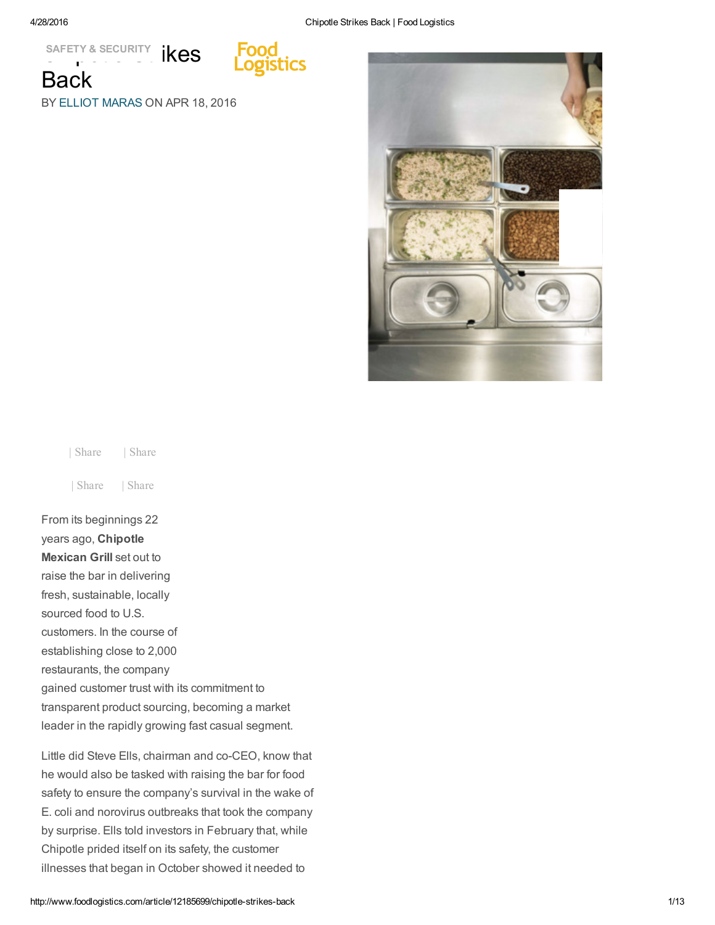tics

SAFETY & SECURITY **IKES Back** 

BY ELLIOT [MARAS](http://www.foodlogistics.com/contact/11535380/elliot-maras) ON APR 18, 2016



| Share | Share | Share | Share

From its beginnings 22 years ago, Chipotle Mexican Grill set out to raise the bar in delivering fresh, sustainable, locally sourced food to U.S. customers. In the course of establishing close to 2,000 restaurants, the company gained customer trust with its commitment to transparent product sourcing, becoming a market leader in the rapidly growing fast casual segment.

Little did Steve Ells, chairman and co-CEO, know that he would also be tasked with raising the bar for food safety to ensure the company's survival in the wake of E. coli and norovirus outbreaks that took the company by surprise. Ells told investors in February that, while Chipotle prided itself on its safety, the customer illnesses that began in October showed it needed to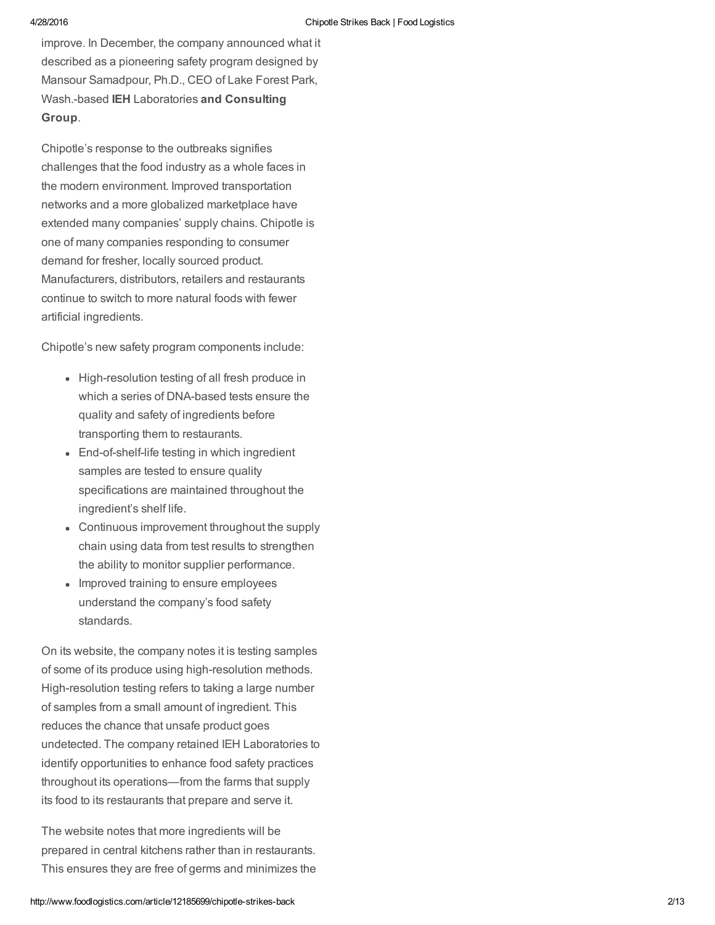improve. In December, the company announced what it described as a pioneering safety program designed by Mansour Samadpour, Ph.D., CEO of Lake Forest Park, Wash.based IEH Laboratories and Consulting Group.

Chipotle's response to the outbreaks signifies challenges that the food industry as a whole faces in the modern environment. Improved transportation networks and a more globalized marketplace have extended many companies' supply chains. Chipotle is one of many companies responding to consumer demand for fresher, locally sourced product. Manufacturers, distributors, retailers and restaurants continue to switch to more natural foods with fewer artificial ingredients.

Chipotle's new safety program components include:

- High-resolution testing of all fresh produce in which a series of DNA-based tests ensure the quality and safety of ingredients before transporting them to restaurants.
- End-of-shelf-life testing in which ingredient samples are tested to ensure quality specifications are maintained throughout the ingredient's shelf life.
- Continuous improvement throughout the supply chain using data from test results to strengthen the ability to monitor supplier performance.
- Improved training to ensure employees understand the company's food safety standards.

On its website, the company notes it is testing samples of some of its produce using high-resolution methods. High-resolution testing refers to taking a large number of samples from a small amount of ingredient. This reduces the chance that unsafe product goes undetected. The company retained IEH Laboratories to identify opportunities to enhance food safety practices throughout its operations—from the farms that supply its food to its restaurants that prepare and serve it.

The website notes that more ingredients will be prepared in central kitchens rather than in restaurants. This ensures they are free of germs and minimizes the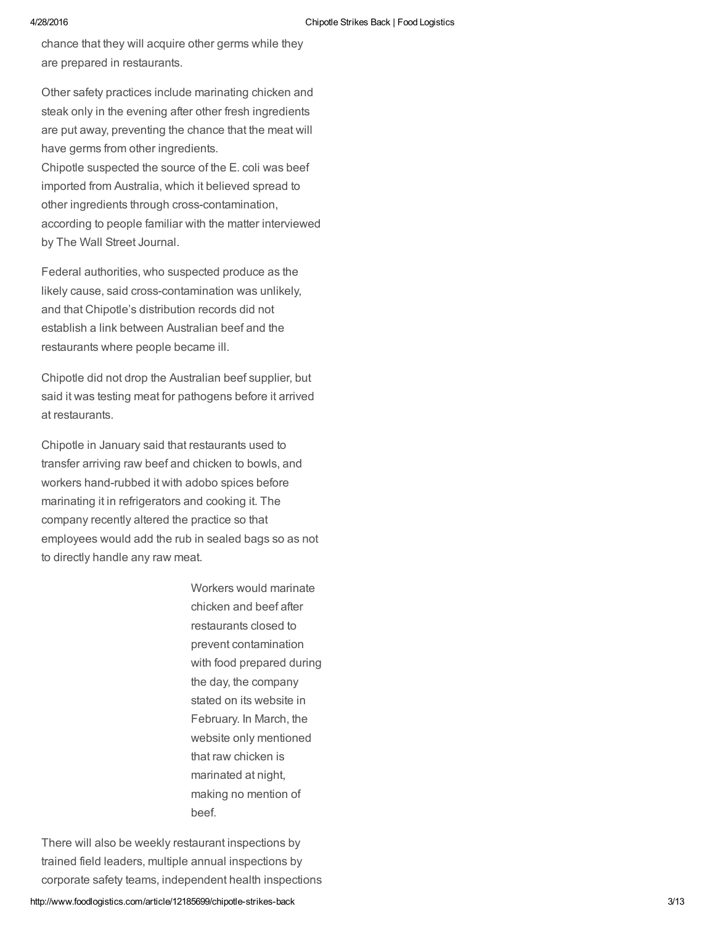chance that they will acquire other germs while they are prepared in restaurants.

Other safety practices include marinating chicken and steak only in the evening after other fresh ingredients are put away, preventing the chance that the meat will have germs from other ingredients. Chipotle suspected the source of the E. coli was beef imported from Australia, which it believed spread to other ingredients through cross-contamination, according to people familiar with the matter interviewed by The Wall Street Journal.

Federal authorities, who suspected produce as the likely cause, said cross-contamination was unlikely, and that Chipotle's distribution records did not establish a link between Australian beef and the restaurants where people became ill.

Chipotle did not drop the Australian beef supplier, but said it was testing meat for pathogens before it arrived at restaurants.

Chipotle in January said that restaurants used to transfer arriving raw beef and chicken to bowls, and workers hand-rubbed it with adobo spices before marinating it in refrigerators and cooking it. The company recently altered the practice so that employees would add the rub in sealed bags so as not to directly handle any raw meat.

> Workers would marinate chicken and beef after restaurants closed to prevent contamination with food prepared during the day, the company stated on its website in February. In March, the website only mentioned that raw chicken is marinated at night, making no mention of beef.

There will also be weekly restaurant inspections by trained field leaders, multiple annual inspections by corporate safety teams, independent health inspections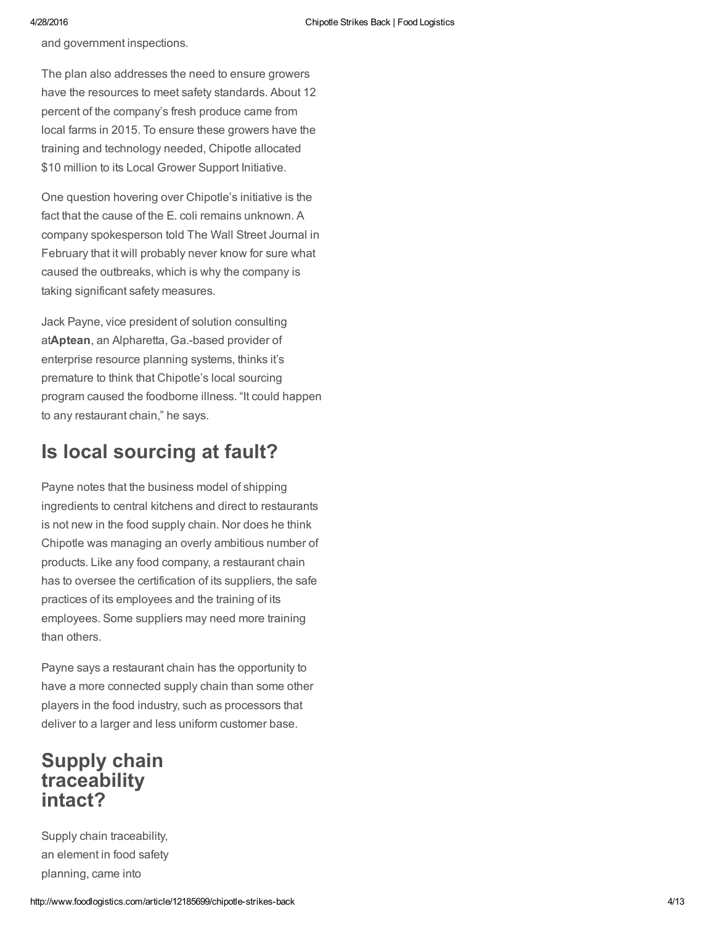and government inspections.

The plan also addresses the need to ensure growers have the resources to meet safety standards. About 12 percent of the company's fresh produce came from local farms in 2015. To ensure these growers have the training and technology needed, Chipotle allocated \$10 million to its Local Grower Support Initiative.

One question hovering over Chipotle's initiative is the fact that the cause of the E. coli remains unknown. A company spokesperson told The Wall Street Journal in February that it will probably never know for sure what caused the outbreaks, which is why the company is taking significant safety measures.

Jack Payne, vice president of solution consulting atAptean, an Alpharetta, Ga.-based provider of enterprise resource planning systems, thinks it's premature to think that Chipotle's local sourcing program caused the foodborne illness. "It could happen to any restaurant chain," he says.

### Is local sourcing at fault?

Payne notes that the business model of shipping ingredients to central kitchens and direct to restaurants is not new in the food supply chain. Nor does he think Chipotle was managing an overly ambitious number of products. Like any food company, a restaurant chain has to oversee the certification of its suppliers, the safe practices of its employees and the training of its employees. Some suppliers may need more training than others.

Payne says a restaurant chain has the opportunity to have a more connected supply chain than some other players in the food industry, such as processors that deliver to a larger and less uniform customer base.

### Supply chain traceability intact?

Supply chain traceability, an element in food safety planning, came into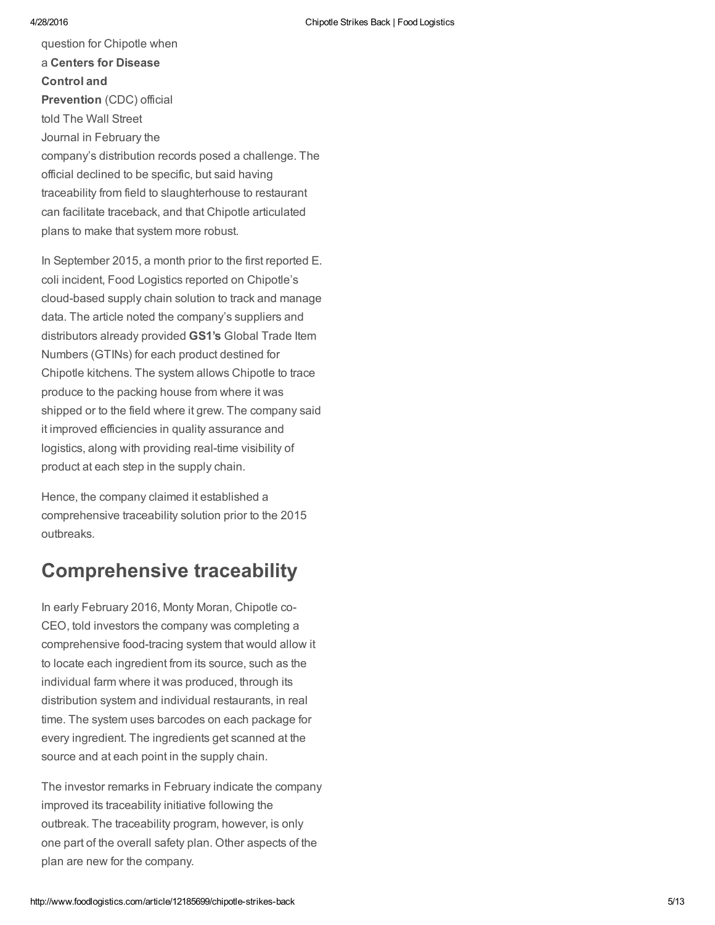question for Chipotle when a Centers for Disease Control and Prevention (CDC) official told The Wall Street Journal in February the company's distribution records posed a challenge. The official declined to be specific, but said having traceability from field to slaughterhouse to restaurant can facilitate traceback, and that Chipotle articulated plans to make that system more robust.

In September 2015, a month prior to the first reported E. coli incident, Food Logistics reported on Chipotle's cloud-based supply chain solution to track and manage data. The article noted the company's suppliers and distributors already provided GS1's Global Trade Item Numbers (GTINs) for each product destined for Chipotle kitchens. The system allows Chipotle to trace produce to the packing house from where it was shipped or to the field where it grew. The company said it improved efficiencies in quality assurance and logistics, along with providing real-time visibility of product at each step in the supply chain.

Hence, the company claimed it established a comprehensive traceability solution prior to the 2015 outbreaks.

### Comprehensive traceability

In early February 2016, Monty Moran, Chipotle co-CEO, told investors the company was completing a comprehensive food-tracing system that would allow it to locate each ingredient from its source, such as the individual farm where it was produced, through its distribution system and individual restaurants, in real time. The system uses barcodes on each package for every ingredient. The ingredients get scanned at the source and at each point in the supply chain.

The investor remarks in February indicate the company improved its traceability initiative following the outbreak. The traceability program, however, is only one part of the overall safety plan. Other aspects of the plan are new for the company.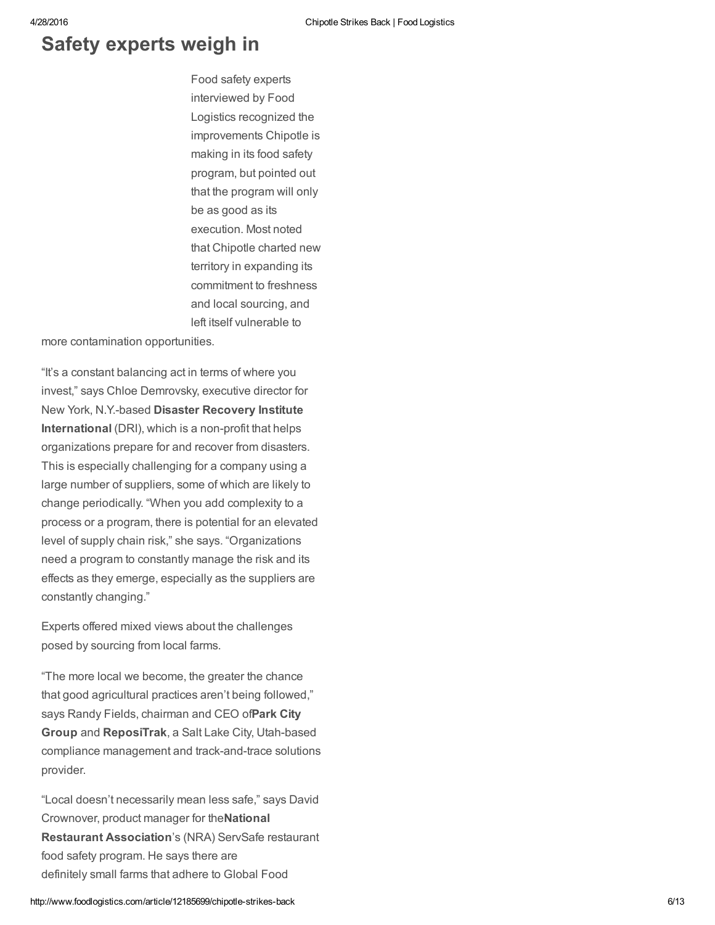### Safety experts weigh in

Food safety experts interviewed by Food Logistics recognized the improvements Chipotle is making in its food safety program, but pointed out that the program will only be as good as its execution. Most noted that Chipotle charted new territory in expanding its commitment to freshness and local sourcing, and left itself vulnerable to

more contamination opportunities.

"It's a constant balancing act in terms of where you invest," says Chloe Demrovsky, executive director for New York, N.Y.-based Disaster Recovery Institute International (DRI), which is a non-profit that helps organizations prepare for and recover from disasters. This is especially challenging for a company using a large number of suppliers, some of which are likely to change periodically. "When you add complexity to a process or a program, there is potential for an elevated level of supply chain risk," she says. "Organizations need a program to constantly manage the risk and its effects as they emerge, especially as the suppliers are constantly changing."

Experts offered mixed views about the challenges posed by sourcing from local farms.

"The more local we become, the greater the chance that good agricultural practices aren't being followed," says Randy Fields, chairman and CEO ofPark City Group and ReposiTrak, a Salt Lake City, Utah-based compliance management and track-and-trace solutions provider.

"Local doesn't necessarily mean less safe," says David Crownover, product manager for theNational Restaurant Association's (NRA) ServSafe restaurant food safety program. He says there are definitely small farms that adhere to Global Food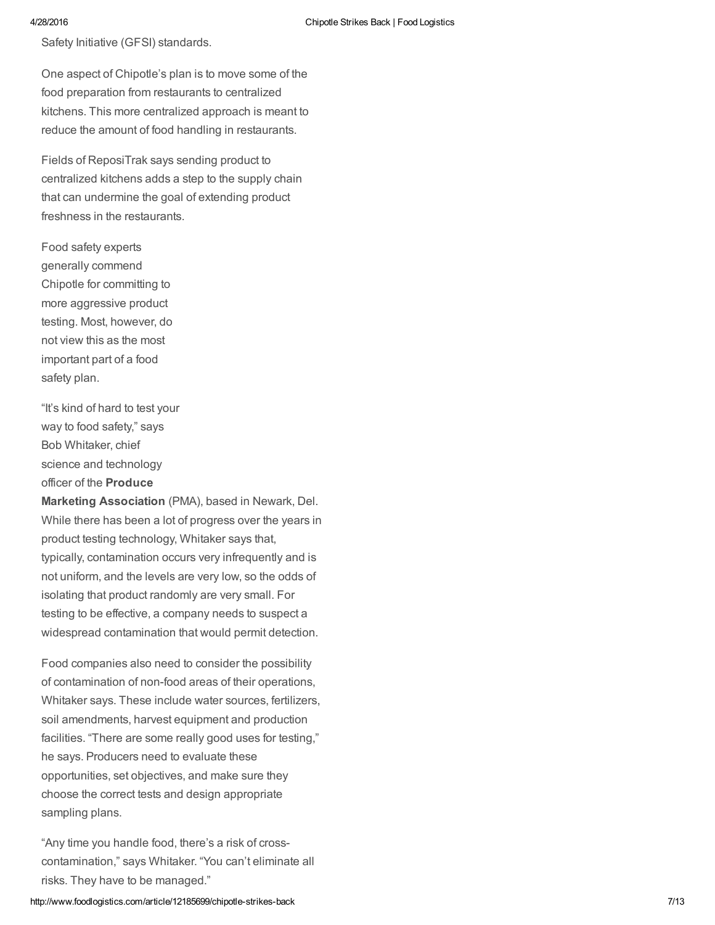Safety Initiative (GFSI) standards.

One aspect of Chipotle's plan is to move some of the food preparation from restaurants to centralized kitchens. This more centralized approach is meant to reduce the amount of food handling in restaurants.

Fields of ReposiTrak says sending product to centralized kitchens adds a step to the supply chain that can undermine the goal of extending product freshness in the restaurants.

Food safety experts generally commend Chipotle for committing to more aggressive product testing. Most, however, do not view this as the most important part of a food safety plan.

"It's kind of hard to test your way to food safety," says Bob Whitaker, chief science and technology officer of the Produce

Marketing Association (PMA), based in Newark, Del. While there has been a lot of progress over the years in product testing technology, Whitaker says that, typically, contamination occurs very infrequently and is not uniform, and the levels are very low, so the odds of isolating that product randomly are very small. For testing to be effective, a company needs to suspect a widespread contamination that would permit detection.

Food companies also need to consider the possibility of contamination of non-food areas of their operations, Whitaker says. These include water sources, fertilizers, soil amendments, harvest equipment and production facilities. "There are some really good uses for testing," he says. Producers need to evaluate these opportunities, set objectives, and make sure they choose the correct tests and design appropriate sampling plans.

"Any time you handle food, there's a risk of crosscontamination," says Whitaker. "You can't eliminate all risks. They have to be managed."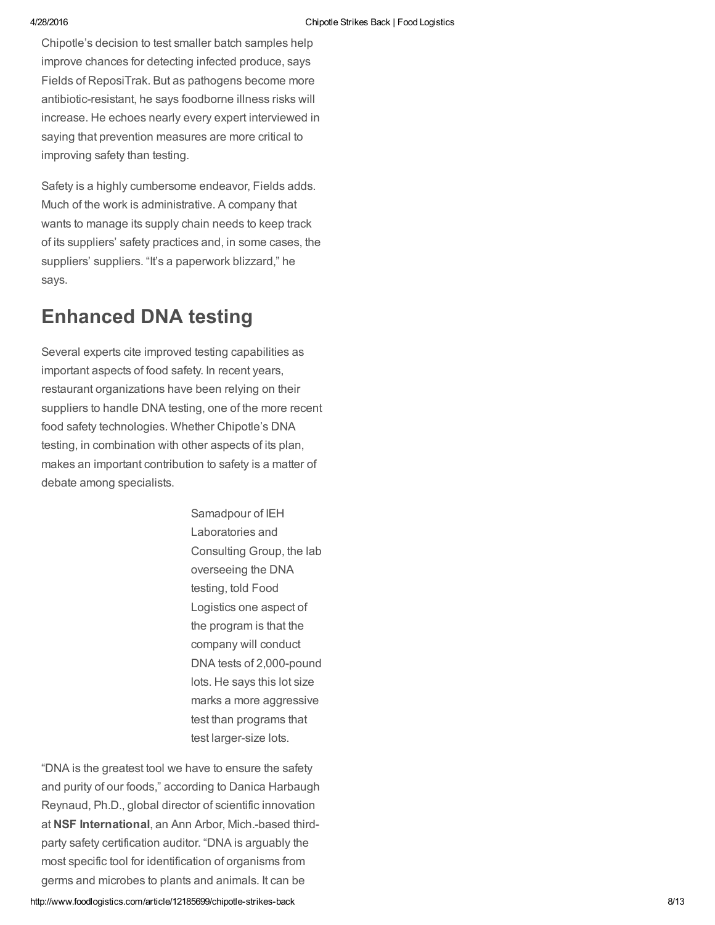Chipotle's decision to test smaller batch samples help improve chances for detecting infected produce, says Fields of ReposiTrak. But as pathogens become more antibiotic-resistant, he says foodborne illness risks will increase. He echoes nearly every expert interviewed in saying that prevention measures are more critical to improving safety than testing.

Safety is a highly cumbersome endeavor, Fields adds. Much of the work is administrative. A company that wants to manage its supply chain needs to keep track of its suppliers' safety practices and, in some cases, the suppliers' suppliers. "It's a paperwork blizzard," he says.

## Enhanced DNA testing

Several experts cite improved testing capabilities as important aspects of food safety. In recent years, restaurant organizations have been relying on their suppliers to handle DNA testing, one of the more recent food safety technologies. Whether Chipotle's DNA testing, in combination with other aspects of its plan, makes an important contribution to safety is a matter of debate among specialists.

> Samadpour of IEH Laboratories and Consulting Group, the lab overseeing the DNA testing, told Food Logistics one aspect of the program is that the company will conduct DNA tests of 2,000-pound lots. He says this lot size marks a more aggressive test than programs that test larger-size lots.

"DNA is the greatest tool we have to ensure the safety and purity of our foods," according to Danica Harbaugh Reynaud, Ph.D., global director of scientific innovation at NSF International, an Ann Arbor, Mich.-based thirdparty safety certification auditor. "DNA is arguably the most specific tool for identification of organisms from germs and microbes to plants and animals. It can be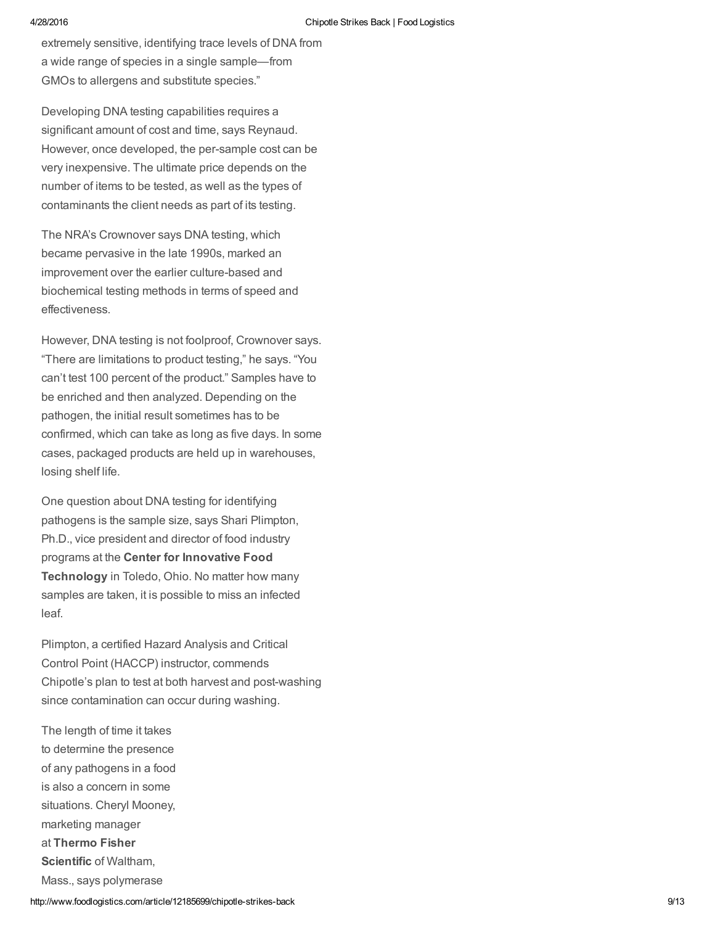extremely sensitive, identifying trace levels of DNA from a wide range of species in a single sample—from GMOs to allergens and substitute species."

Developing DNA testing capabilities requires a significant amount of cost and time, says Reynaud. However, once developed, the per-sample cost can be very inexpensive. The ultimate price depends on the number of items to be tested, as well as the types of contaminants the client needs as part of its testing.

The NRA's Crownover says DNA testing, which became pervasive in the late 1990s, marked an improvement over the earlier culture-based and biochemical testing methods in terms of speed and effectiveness.

However, DNA testing is not foolproof, Crownover says. "There are limitations to product testing," he says. "You can't test 100 percent of the product." Samples have to be enriched and then analyzed. Depending on the pathogen, the initial result sometimes has to be confirmed, which can take as long as five days. In some cases, packaged products are held up in warehouses, losing shelf life.

One question about DNA testing for identifying pathogens is the sample size, says Shari Plimpton, Ph.D., vice president and director of food industry programs at the Center for Innovative Food Technology in Toledo, Ohio. No matter how many samples are taken, it is possible to miss an infected leaf.

Plimpton, a certified Hazard Analysis and Critical Control Point (HACCP) instructor, commends Chipotle's plan to test at both harvest and post-washing since contamination can occur during washing.

The length of time it takes to determine the presence of any pathogens in a food is also a concern in some situations. Cheryl Mooney, marketing manager at Thermo Fisher Scientific of Waltham. Mass., says polymerase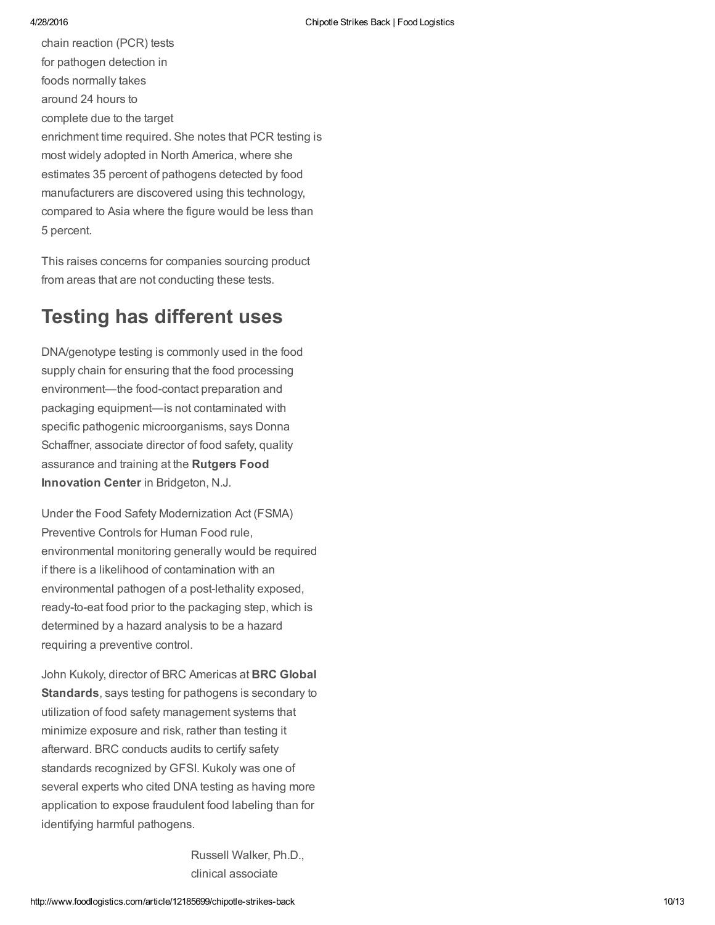chain reaction (PCR) tests for pathogen detection in foods normally takes around 24 hours to complete due to the target enrichment time required. She notes that PCR testing is most widely adopted in North America, where she estimates 35 percent of pathogens detected by food manufacturers are discovered using this technology, compared to Asia where the figure would be less than 5 percent.

This raises concerns for companies sourcing product from areas that are not conducting these tests.

# Testing has different uses

DNA/genotype testing is commonly used in the food supply chain for ensuring that the food processing environment—the food-contact preparation and packaging equipment—is not contaminated with specific pathogenic microorganisms, says Donna Schaffner, associate director of food safety, quality assurance and training at the Rutgers Food Innovation Center in Bridgeton, N.J.

Under the Food Safety Modernization Act (FSMA) Preventive Controls for Human Food rule, environmental monitoring generally would be required if there is a likelihood of contamination with an environmental pathogen of a post-lethality exposed, ready-to-eat food prior to the packaging step, which is determined by a hazard analysis to be a hazard requiring a preventive control.

John Kukoly, director of BRC Americas at BRC Global Standards, says testing for pathogens is secondary to utilization of food safety management systems that minimize exposure and risk, rather than testing it afterward. BRC conducts audits to certify safety standards recognized by GFSI. Kukoly was one of several experts who cited DNA testing as having more application to expose fraudulent food labeling than for identifying harmful pathogens.

> Russell Walker, Ph.D., clinical associate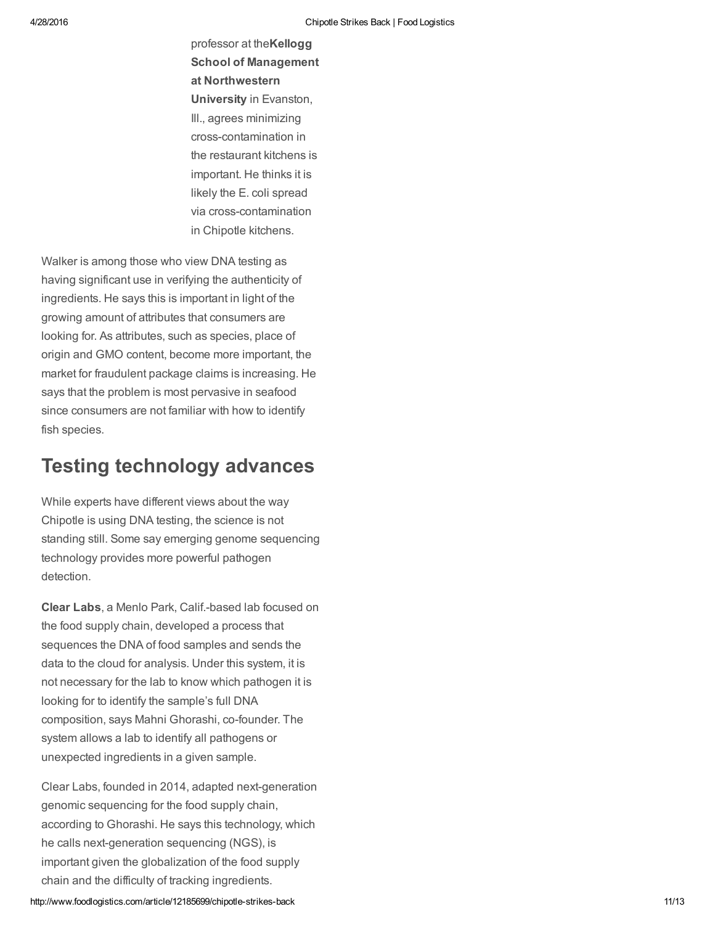professor at theKellogg School of Management at Northwestern University in Evanston, Ill., agrees minimizing cross-contamination in the restaurant kitchens is important. He thinks it is likely the E. coli spread via cross-contamination in Chipotle kitchens.

Walker is among those who view DNA testing as having significant use in verifying the authenticity of ingredients. He says this is important in light of the growing amount of attributes that consumers are looking for. As attributes, such as species, place of origin and GMO content, become more important, the market for fraudulent package claims is increasing. He says that the problem is most pervasive in seafood since consumers are not familiar with how to identify fish species.

## Testing technology advances

While experts have different views about the way Chipotle is using DNA testing, the science is not standing still. Some say emerging genome sequencing technology provides more powerful pathogen detection.

Clear Labs, a Menlo Park, Calif.-based lab focused on the food supply chain, developed a process that sequences the DNA of food samples and sends the data to the cloud for analysis. Under this system, it is not necessary for the lab to know which pathogen it is looking for to identify the sample's full DNA composition, says Mahni Ghorashi, co-founder. The system allows a lab to identify all pathogens or unexpected ingredients in a given sample.

Clear Labs, founded in 2014, adapted next-generation genomic sequencing for the food supply chain, according to Ghorashi. He says this technology, which he calls next-generation sequencing (NGS), is important given the globalization of the food supply chain and the difficulty of tracking ingredients.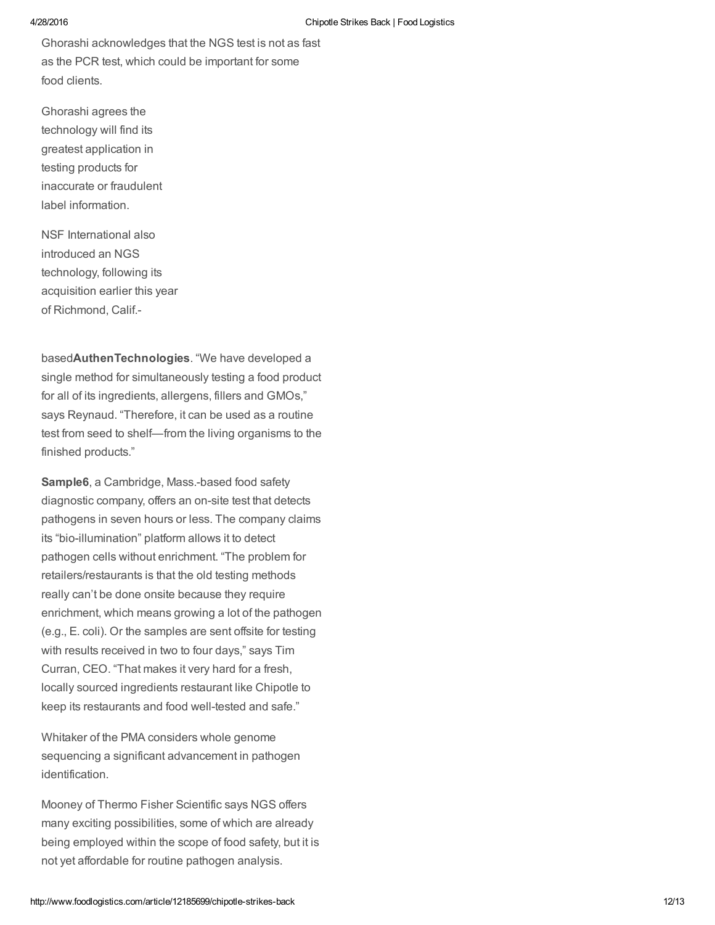Ghorashi acknowledges that the NGS test is not as fast as the PCR test, which could be important for some food clients.

Ghorashi agrees the technology will find its greatest application in testing products for inaccurate or fraudulent label information.

NSF International also introduced an NGS technology, following its acquisition earlier this year of Richmond, Calif.

basedAuthenTechnologies. "We have developed a single method for simultaneously testing a food product for all of its ingredients, allergens, fillers and GMOs," says Reynaud. "Therefore, it can be used as a routine test from seed to shelf—from the living organisms to the finished products."

Sample6, a Cambridge, Mass.-based food safety diagnostic company, offers an on-site test that detects pathogens in seven hours or less. The company claims its "bio-illumination" platform allows it to detect pathogen cells without enrichment. "The problem for retailers/restaurants is that the old testing methods really can't be done onsite because they require enrichment, which means growing a lot of the pathogen (e.g., E. coli). Or the samples are sent offsite for testing with results received in two to four days," says Tim Curran, CEO. "That makes it very hard for a fresh, locally sourced ingredients restaurant like Chipotle to keep its restaurants and food well-tested and safe."

Whitaker of the PMA considers whole genome sequencing a significant advancement in pathogen identification.

Mooney of Thermo Fisher Scientific says NGS offers many exciting possibilities, some of which are already being employed within the scope of food safety, but it is not yet affordable for routine pathogen analysis.